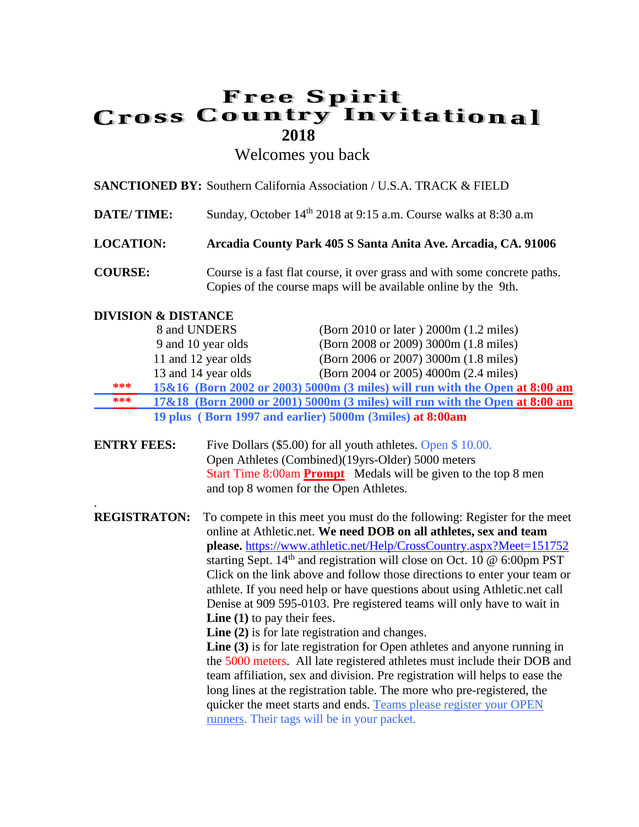## **Free Spirit Cross Country Invitational 2018**

Welcomes you back

|                                | <b>SANCTIONED BY:</b> Southern California Association / U.S.A. TRACK & FIELD                                                                |
|--------------------------------|---------------------------------------------------------------------------------------------------------------------------------------------|
| <b>DATE/TIME:</b>              | Sunday, October 14 <sup>th</sup> 2018 at 9:15 a.m. Course walks at 8:30 a.m                                                                 |
| <b>LOCATION:</b>               | Arcadia County Park 405 S Santa Anita Ave. Arcadia, CA. 91006                                                                               |
| <b>COURSE:</b>                 | Course is a fast flat course, it over grass and with some concrete paths.<br>Copies of the course maps will be available online by the 9th. |
| <b>DIVISION &amp; DISTANCE</b> |                                                                                                                                             |

|     | 8 and UNDERS        | (Born 2010 or later) 2000m (1.2 miles)                                      |
|-----|---------------------|-----------------------------------------------------------------------------|
|     | 9 and 10 year olds  | (Born 2008 or 2009) 3000m (1.8 miles)                                       |
|     | 11 and 12 year olds | (Born 2006 or 2007) 3000m (1.8 miles)                                       |
|     | 13 and 14 year olds | (Born 2004 or 2005) 4000m (2.4 miles)                                       |
| *** |                     | 15&16 (Born 2002 or 2003) 5000m (3 miles) will run with the Open at 8:00 am |
| *** |                     | 17&18 (Born 2000 or 2001) 5000m (3 miles) will run with the Open at 8:00 am |
|     |                     | 19 plus (Born 1997 and earlier) 5000m (3miles) at 8:00am                    |

| <b>ENTRY FEES:</b> | Five Dollars $(\$5.00)$ for all youth athletes. Open $\$10.00$ .      |
|--------------------|-----------------------------------------------------------------------|
|                    | Open Athletes (Combined)(19yrs-Older) 5000 meters                     |
|                    | Start Time 8:00am <b>Prompt</b> Medals will be given to the top 8 men |
|                    | and top 8 women for the Open Athletes.                                |

. **REGISTRATON:** To compete in this meet you must do the following: Register for the meet online at Athletic.net. **We need DOB on all athletes, sex and team please.** <https://www.athletic.net/Help/CrossCountry.aspx?Meet=151752> starting Sept.  $14<sup>th</sup>$  and registration will close on Oct. 10  $@$  6:00pm PST Click on the link above and follow those directions to enter your team or athlete. If you need help or have questions about using Athletic.net call Denise at 909 595-0103. Pre registered teams will only have to wait in **Line (1)** to pay their fees.

**Line (2)** is for late registration and changes.

Line (3) is for late registration for Open athletes and anyone running in the 5000 meters. All late registered athletes must include their DOB and team affiliation, sex and division. Pre registration will helps to ease the long lines at the registration table. The more who pre-registered, the quicker the meet starts and ends. Teams please register your OPEN runners. Their tags will be in your packet.